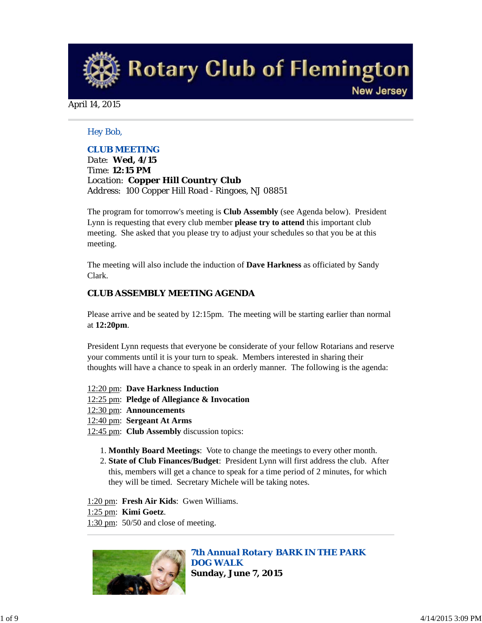**Rotary Club of Flemington New Jersey** 

April 14, 2015

### *Hey Bob,*

### *CLUB MEETING*

*Date: Wed, 4/15 Time: 12:15 PM Location: Copper Hill Country Club Address: 100 Copper Hill Road - Ringoes, NJ 08851*

The program for tomorrow's meeting is **Club Assembly** (see Agenda below). President Lynn is requesting that every club member **please try to attend** this important club meeting. She asked that you please try to adjust your schedules so that you be at this meeting.

The meeting will also include the induction of **Dave Harkness** as officiated by Sandy Clark.

### *CLUB ASSEMBLY MEETING AGENDA*

Please arrive and be seated by 12:15pm. The meeting will be starting earlier than normal at **12:20pm**.

President Lynn requests that everyone be considerate of your fellow Rotarians and reserve your comments until it is your turn to speak. Members interested in sharing their thoughts will have a chance to speak in an orderly manner. The following is the agenda:

- 12:20 pm: **Dave Harkness Induction**
- 12:25 pm: **Pledge of Allegiance & Invocation**
- 12:30 pm: **Announcements**
- 12:40 pm: **Sergeant At Arms**
- 12:45 pm: **Club Assembly** discussion topics:
	- 1. **Monthly Board Meetings**: Vote to change the meetings to every other month.
	- **State of Club Finances/Budget**: President Lynn will first address the club. After 2. this, members will get a chance to speak for a time period of 2 minutes, for which they will be timed. Secretary Michele will be taking notes.
- 1:20 pm: **Fresh Air Kids**: Gwen Williams.
- 1:25 pm: **Kimi Goetz**.
- 1:30 pm: 50/50 and close of meeting.



*7th Annual Rotary BARK IN THE PARK DOG WALK* **Sunday, June 7, 2015**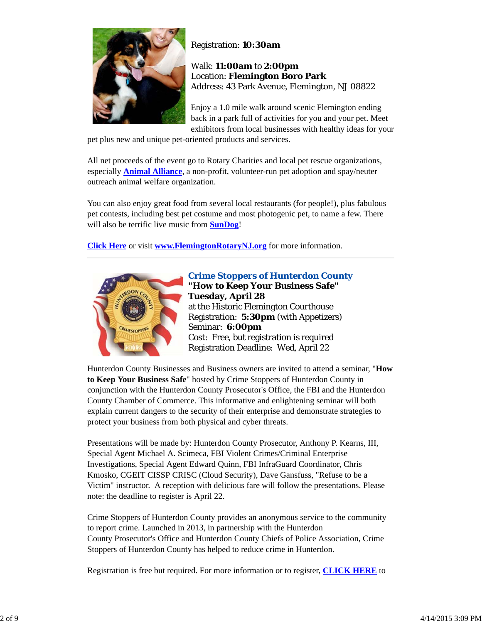

Registration: **10:30am**

Walk: **11:00am** to **2:00pm** Location: **Flemington Boro Park** Address: 43 Park Avenue, Flemington, NJ 08822

Enjoy a 1.0 mile walk around scenic Flemington ending back in a park full of activities for you and your pet. Meet exhibitors from local businesses with healthy ideas for your

pet plus new and unique pet-oriented products and services.

All net proceeds of the event go to Rotary Charities and local pet rescue organizations, especially **Animal Alliance**, a non-profit, volunteer-run pet adoption and spay/neuter outreach animal welfare organization.

You can also enjoy great food from several local restaurants (for people!), plus fabulous pet contests, including best pet costume and most photogenic pet, to name a few. There will also be terrific live music from **SunDog**!

**Click Here** or visit **www.FlemingtonRotaryNJ.org** for more information.



*Crime Stoppers of Hunterdon County* **"How to Keep Your Business Safe" Tuesday, April 28** at the Historic Flemington Courthouse Registration: **5:30pm** (with Appetizers) Seminar: **6:00pm** Cost: Free, but registration is required Registration Deadline: Wed, April 22

Hunterdon County Businesses and Business owners are invited to attend a seminar, "**How to Keep Your Business Safe**" hosted by Crime Stoppers of Hunterdon County in conjunction with the Hunterdon County Prosecutor's Office, the FBI and the Hunterdon County Chamber of Commerce. This informative and enlightening seminar will both explain current dangers to the security of their enterprise and demonstrate strategies to protect your business from both physical and cyber threats.

Presentations will be made by: Hunterdon County Prosecutor, Anthony P. Kearns, III, Special Agent Michael A. Scimeca, FBI Violent Crimes/Criminal Enterprise Investigations, Special Agent Edward Quinn, FBI InfraGuard Coordinator, Chris Kmosko, CGEIT CISSP CRISC (Cloud Security), Dave Gansfuss, "Refuse to be a Victim" instructor. A reception with delicious fare will follow the presentations. Please note: the deadline to register is April 22.

Crime Stoppers of Hunterdon County provides an anonymous service to the community to report crime. Launched in 2013, in partnership with the Hunterdon County Prosecutor's Office and Hunterdon County Chiefs of Police Association, Crime Stoppers of Hunterdon County has helped to reduce crime in Hunterdon.

Registration is free but required. For more information or to register, **CLICK HERE** to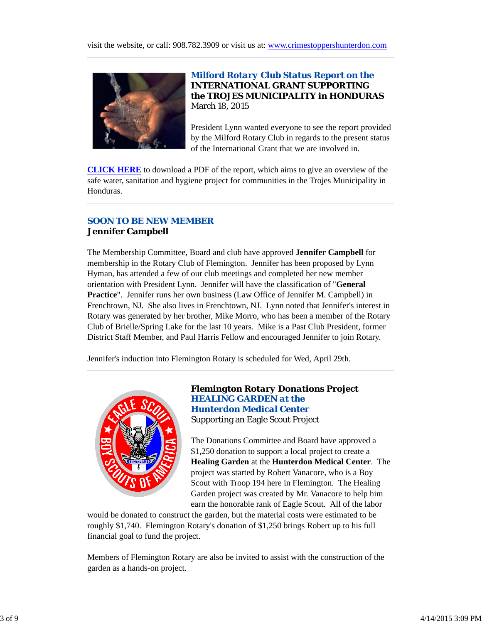

# *Milford Rotary Club Status Report on the* **INTERNATIONAL GRANT SUPPORTING the TROJES MUNICIPALITY in HONDURAS** March 18, 2015

President Lynn wanted everyone to see the report provided by the Milford Rotary Club in regards to the present status of the International Grant that we are involved in.

**CLICK HERE** to download a PDF of the report, which aims to give an overview of the safe water, sanitation and hygiene project for communities in the Trojes Municipality in Honduras.

# *SOON TO BE NEW MEMBER* **Jennifer Campbell**

The Membership Committee, Board and club have approved **Jennifer Campbell** for membership in the Rotary Club of Flemington. Jennifer has been proposed by Lynn Hyman, has attended a few of our club meetings and completed her new member orientation with President Lynn. Jennifer will have the classification of "**General Practice**". Jennifer runs her own business (Law Office of Jennifer M. Campbell) in Frenchtown, NJ. She also lives in Frenchtown, NJ. Lynn noted that Jennifer's interest in Rotary was generated by her brother, Mike Morro, who has been a member of the Rotary Club of Brielle/Spring Lake for the last 10 years. Mike is a Past Club President, former District Staff Member, and Paul Harris Fellow and encouraged Jennifer to join Rotary.

Jennifer's induction into Flemington Rotary is scheduled for Wed, April 29th.



# *Flemington Rotary Donations Project HEALING GARDEN at the Hunterdon Medical Center* Supporting an Eagle Scout Project

The Donations Committee and Board have approved a \$1,250 donation to support a local project to create a **Healing Garden** at the **Hunterdon Medical Center**. The project was started by Robert Vanacore, who is a Boy Scout with Troop 194 here in Flemington. The Healing Garden project was created by Mr. Vanacore to help him earn the honorable rank of Eagle Scout. All of the labor

would be donated to construct the garden, but the material costs were estimated to be roughly \$1,740. Flemington Rotary's donation of \$1,250 brings Robert up to his full financial goal to fund the project.

Members of Flemington Rotary are also be invited to assist with the construction of the garden as a hands-on project.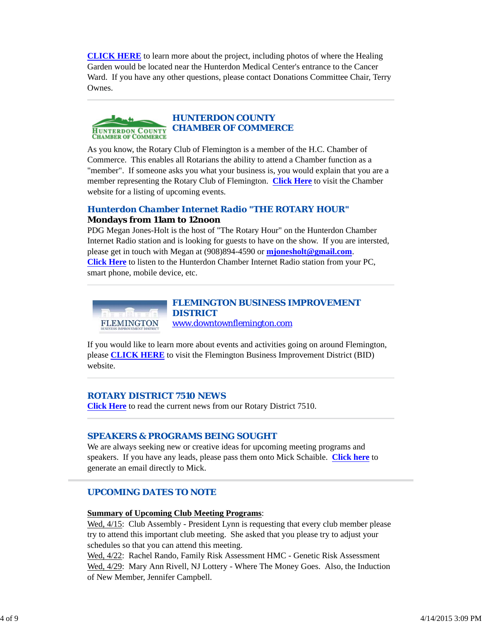**CLICK HERE** to learn more about the project, including photos of where the Healing Garden would be located near the Hunterdon Medical Center's entrance to the Cancer Ward. If you have any other questions, please contact Donations Committee Chair, Terry Ownes.



As you know, the Rotary Club of Flemington is a member of the H.C. Chamber of Commerce. This enables all Rotarians the ability to attend a Chamber function as a "member". If someone asks you what your business is, you would explain that you are a member representing the Rotary Club of Flemington. **Click Here** to visit the Chamber website for a listing of upcoming events.

# *Hunterdon Chamber Internet Radio "THE ROTARY HOUR"* **Mondays from 11am to 12noon**

PDG Megan Jones-Holt is the host of "The Rotary Hour" on the Hunterdon Chamber Internet Radio station and is looking for guests to have on the show. If you are intersted, please get in touch with Megan at (908)894-4590 or **mjonesholt@gmail.com**. **Click Here** to listen to the Hunterdon Chamber Internet Radio station from your PC, smart phone, mobile device, etc.



### *FLEMINGTON BUSINESS IMPROVEMENT DISTRICT* www.downtownflemington.com

If you would like to learn more about events and activities going on around Flemington, please **CLICK HERE** to visit the Flemington Business Improvement District (BID) website.

### *ROTARY DISTRICT 7510 NEWS*

**Click Here** to read the current news from our Rotary District 7510.

### *SPEAKERS & PROGRAMS BEING SOUGHT*

We are always seeking new or creative ideas for upcoming meeting programs and speakers. If you have any leads, please pass them onto Mick Schaible. **Click here** to generate an email directly to Mick.

### *UPCOMING DATES TO NOTE*

#### **Summary of Upcoming Club Meeting Programs**:

Wed,  $4/15$ : Club Assembly - President Lynn is requesting that every club member please try to attend this important club meeting. She asked that you please try to adjust your schedules so that you can attend this meeting.

Wed, 4/22: Rachel Rando, Family Risk Assessment HMC - Genetic Risk Assessment Wed, 4/29: Mary Ann Rivell, NJ Lottery - Where The Money Goes. Also, the Induction of New Member, Jennifer Campbell.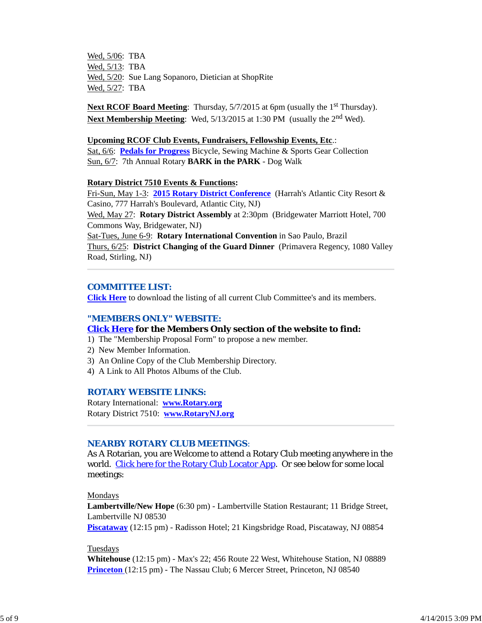Wed, 5/06: TBA Wed, 5/13: TBA Wed, 5/20: Sue Lang Sopanoro, Dietician at ShopRite Wed, 5/27: TBA

**Next RCOF Board Meeting:** Thursday, 5/7/2015 at 6pm (usually the 1<sup>st</sup> Thursday). **Next Membership Meeting**: Wed, 5/13/2015 at 1:30 PM (usually the 2<sup>nd</sup> Wed).

#### **Upcoming RCOF Club Events, Fundraisers, Fellowship Events, Etc**.:

Sat, 6/6: **Pedals for Progress** Bicycle, Sewing Machine & Sports Gear Collection Sun, 6/7: 7th Annual Rotary **BARK in the PARK** - Dog Walk

#### **Rotary District 7510 Events & Functions:**

Fri-Sun, May 1-3: **2015 Rotary District Conference** (Harrah's Atlantic City Resort & Casino, 777 Harrah's Boulevard, Atlantic City, NJ) Wed, May 27: **Rotary District Assembly** at 2:30pm (Bridgewater Marriott Hotel, 700 Commons Way, Bridgewater, NJ) Sat-Tues, June 6-9: **Rotary International Convention** in Sao Paulo, Brazil Thurs, 6/25: **District Changing of the Guard Dinner** (Primavera Regency, 1080 Valley Road, Stirling, NJ)

#### *COMMITTEE LIST:*

**Click Here** to download the listing of all current Club Committee's and its members.

#### *"MEMBERS ONLY" WEBSITE:*

#### **Click Here for the Members Only section of the website to find:**

- 1) The "Membership Proposal Form" to propose a new member.
- 2) New Member Information.
- 3) An Online Copy of the Club Membership Directory.
- 4) A Link to All Photos Albums of the Club.

#### *ROTARY WEBSITE LINKS:*

Rotary International: **www.Rotary.org** Rotary District 7510: **www.RotaryNJ.org**

### *NEARBY ROTARY CLUB MEETINGS:*

As A Rotarian, you are Welcome to attend a Rotary Club meeting anywhere in the world. Click here for the Rotary Club Locator App. Or see below for some local meetings:

Mondays

**Lambertville/New Hope** (6:30 pm) - Lambertville Station Restaurant; 11 Bridge Street, Lambertville NJ 08530

**Piscataway** (12:15 pm) - Radisson Hotel; 21 Kingsbridge Road, Piscataway, NJ 08854

#### Tuesdays

**Whitehouse** (12:15 pm) - Max's 22; 456 Route 22 West, Whitehouse Station, NJ 08889 **Princeton** (12:15 pm) - The Nassau Club; 6 Mercer Street, Princeton, NJ 08540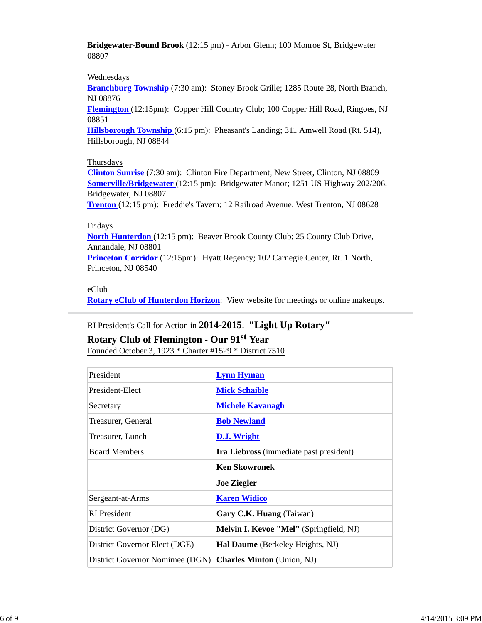**Bridgewater-Bound Brook** (12:15 pm) - Arbor Glenn; 100 Monroe St, Bridgewater 08807

### Wednesdays

**Branchburg Township** (7:30 am): Stoney Brook Grille; 1285 Route 28, North Branch, NJ 08876

**Flemington** (12:15pm): Copper Hill Country Club; 100 Copper Hill Road, Ringoes, NJ 08851

**Hillsborough Township** (6:15 pm): Pheasant's Landing; 311 Amwell Road (Rt. 514), Hillsborough, NJ 08844

### **Thursdays**

**Clinton Sunrise** (7:30 am): Clinton Fire Department; New Street, Clinton, NJ 08809 **Somerville/Bridgewater** (12:15 pm): Bridgewater Manor; 1251 US Highway 202/206, Bridgewater, NJ 08807

**Trenton** (12:15 pm): Freddie's Tavern; 12 Railroad Avenue, West Trenton, NJ 08628

### Fridays

**North Hunterdon** (12:15 pm): Beaver Brook County Club; 25 County Club Drive, Annandale, NJ 08801

**Princeton Corridor** (12:15pm): Hyatt Regency; 102 Carnegie Center, Rt. 1 North, Princeton, NJ 08540

### eClub

**Rotary eClub of Hunterdon Horizon**: View website for meetings or online makeups.

### RI President's Call for Action in **2014-2015**: **"Light Up Rotary"**

# **Rotary Club of Flemington - Our 91st Year**

Founded October 3, 1923 \* Charter #1529 \* District 7510

| President                       | <b>Lynn Hyman</b>                              |
|---------------------------------|------------------------------------------------|
| President-Elect                 | <b>Mick Schaible</b>                           |
| Secretary                       | <b>Michele Kavanagh</b>                        |
| Treasurer, General              | <b>Bob Newland</b>                             |
| Treasurer, Lunch                | <b>D.J.</b> Wright                             |
| <b>Board Members</b>            | <b>Ira Liebross</b> (immediate past president) |
|                                 | <b>Ken Skowronek</b>                           |
|                                 | <b>Joe Ziegler</b>                             |
| Sergeant-at-Arms                | <b>Karen Widico</b>                            |
| <b>RI</b> President             | Gary C.K. Huang (Taiwan)                       |
| District Governor (DG)          | Melvin I. Kevoe "Mel" (Springfield, NJ)        |
| District Governor Elect (DGE)   | <b>Hal Daume</b> (Berkeley Heights, NJ)        |
| District Governor Nomimee (DGN) | <b>Charles Minton</b> (Union, NJ)              |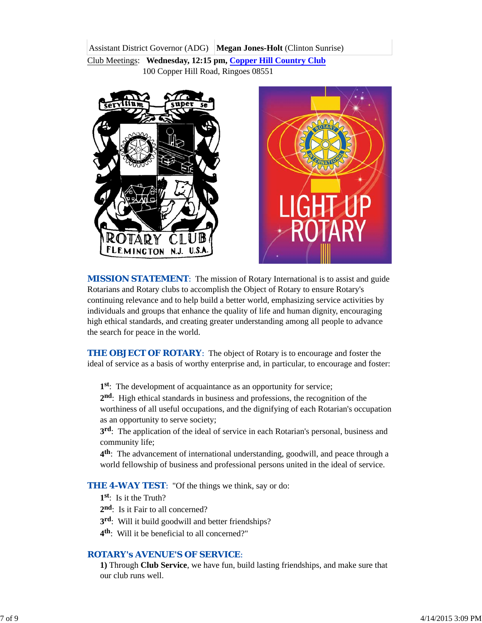Assistant District Governor (ADG) **Megan Jones-Holt** (Clinton Sunrise)

Club Meetings: **Wednesday, 12:15 pm, Copper Hill Country Club** 100 Copper Hill Road, Ringoes 08551





**MISSION STATEMENT:** The mission of Rotary International is to assist and guide Rotarians and Rotary clubs to accomplish the Object of Rotary to ensure Rotary's continuing relevance and to help build a better world, emphasizing service activities by individuals and groups that enhance the quality of life and human dignity, encouraging high ethical standards, and creating greater understanding among all people to advance the search for peace in the world.

**THE OBJECT OF ROTARY:** The object of Rotary is to encourage and foster the ideal of service as a basis of worthy enterprise and, in particular, to encourage and foster:

**1st**: The development of acquaintance as an opportunity for service;

**2nd**: High ethical standards in business and professions, the recognition of the worthiness of all useful occupations, and the dignifying of each Rotarian's occupation as an opportunity to serve society;

**3rd**: The application of the ideal of service in each Rotarian's personal, business and community life;

**4th**: The advancement of international understanding, goodwill, and peace through a world fellowship of business and professional persons united in the ideal of service.

**THE 4-WAY TEST:** "Of the things we think, say or do:

- **1st**: Is it the Truth?
- 2<sup>nd</sup>: Is it Fair to all concerned?
- **3rd**: Will it build goodwill and better friendships?
- **4th**: Will it be beneficial to all concerned?"

### *ROTARY's AVENUE'S OF SERVICE*:

**1)** Through **Club Service**, we have fun, build lasting friendships, and make sure that our club runs well.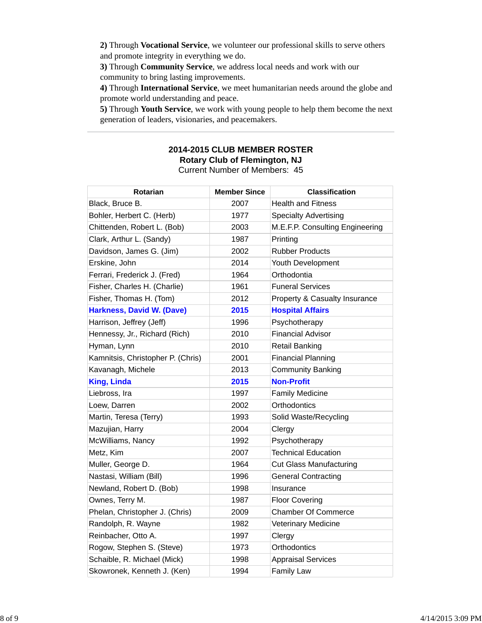**2)** Through **Vocational Service**, we volunteer our professional skills to serve others and promote integrity in everything we do.

**3)** Through **Community Service**, we address local needs and work with our community to bring lasting improvements.

**4)** Through **International Service**, we meet humanitarian needs around the globe and promote world understanding and peace.

**5)** Through **Youth Service**, we work with young people to help them become the next generation of leaders, visionaries, and peacemakers.

### **2014-2015 CLUB MEMBER ROSTER Rotary Club of Flemington, NJ** Current Number of Members: 45

| <b>Rotarian</b>                   | <b>Member Since</b> | <b>Classification</b>           |
|-----------------------------------|---------------------|---------------------------------|
| Black, Bruce B.                   | 2007                | <b>Health and Fitness</b>       |
| Bohler, Herbert C. (Herb)         | 1977                | <b>Specialty Advertising</b>    |
| Chittenden, Robert L. (Bob)       | 2003                | M.E.F.P. Consulting Engineering |
| Clark, Arthur L. (Sandy)          | 1987                | Printing                        |
| Davidson, James G. (Jim)          | 2002                | <b>Rubber Products</b>          |
| Erskine, John                     | 2014                | Youth Development               |
| Ferrari, Frederick J. (Fred)      | 1964                | Orthodontia                     |
| Fisher, Charles H. (Charlie)      | 1961                | <b>Funeral Services</b>         |
| Fisher, Thomas H. (Tom)           | 2012                | Property & Casualty Insurance   |
| <b>Harkness, David W. (Dave)</b>  | 2015                | <b>Hospital Affairs</b>         |
| Harrison, Jeffrey (Jeff)          | 1996                | Psychotherapy                   |
| Hennessy, Jr., Richard (Rich)     | 2010                | <b>Financial Advisor</b>        |
| Hyman, Lynn                       | 2010                | <b>Retail Banking</b>           |
| Kamnitsis, Christopher P. (Chris) | 2001                | <b>Financial Planning</b>       |
| Kavanagh, Michele                 | 2013                | <b>Community Banking</b>        |
| <b>King, Linda</b>                | 2015                | <b>Non-Profit</b>               |
| Liebross, Ira                     | 1997                | <b>Family Medicine</b>          |
| Loew, Darren                      | 2002                | Orthodontics                    |
| Martin, Teresa (Terry)            | 1993                | Solid Waste/Recycling           |
| Mazujian, Harry                   | 2004                | Clergy                          |
| McWilliams, Nancy                 | 1992                | Psychotherapy                   |
| Metz, Kim                         | 2007                | <b>Technical Education</b>      |
| Muller, George D.                 | 1964                | <b>Cut Glass Manufacturing</b>  |
| Nastasi, William (Bill)           | 1996                | <b>General Contracting</b>      |
| Newland, Robert D. (Bob)          | 1998                | Insurance                       |
| Ownes, Terry M.                   | 1987                | <b>Floor Covering</b>           |
| Phelan, Christopher J. (Chris)    | 2009                | <b>Chamber Of Commerce</b>      |
| Randolph, R. Wayne                | 1982                | Veterinary Medicine             |
| Reinbacher, Otto A.               | 1997                | Clergy                          |
| Rogow, Stephen S. (Steve)         | 1973                | Orthodontics                    |
| Schaible, R. Michael (Mick)       | 1998                | <b>Appraisal Services</b>       |
| Skowronek, Kenneth J. (Ken)       | 1994                | <b>Family Law</b>               |